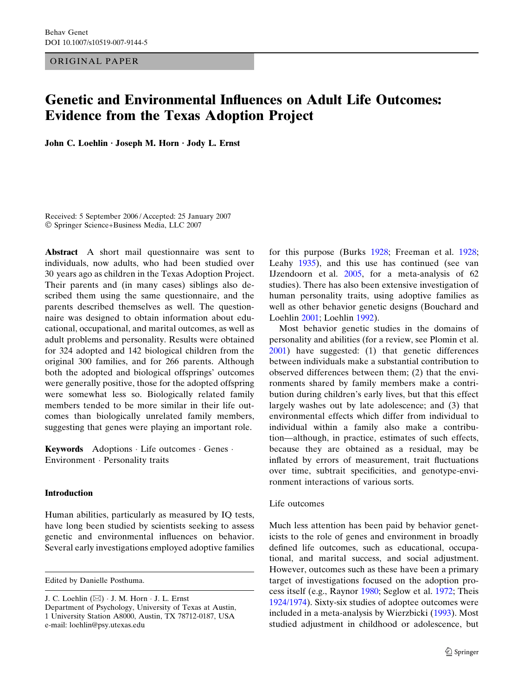ORIGINAL PAPER

# Genetic and Environmental Influences on Adult Life Outcomes: Evidence from the Texas Adoption Project

John C. Loehlin · Joseph M. Horn · Jody L. Ernst

Received: 5 September 2006 / Accepted: 25 January 2007 Springer Science+Business Media, LLC 2007

Abstract A short mail questionnaire was sent to individuals, now adults, who had been studied over 30 years ago as children in the Texas Adoption Project. Their parents and (in many cases) siblings also described them using the same questionnaire, and the parents described themselves as well. The questionnaire was designed to obtain information about educational, occupational, and marital outcomes, as well as adult problems and personality. Results were obtained for 324 adopted and 142 biological children from the original 300 families, and for 266 parents. Although both the adopted and biological offsprings' outcomes were generally positive, those for the adopted offspring were somewhat less so. Biologically related family members tended to be more similar in their life outcomes than biologically unrelated family members, suggesting that genes were playing an important role.

Keywords Adoptions · Life outcomes · Genes · Environment · Personality traits

#### Introduction

Human abilities, particularly as measured by IQ tests, have long been studied by scientists seeking to assess genetic and environmental influences on behavior. Several early investigations employed adoptive families

Edited by Danielle Posthuma.

for this purpose (Burks 1928; Freeman et al. 1928; Leahy 1935), and this use has continued (see van IJzendoorn et al. 2005, for a meta-analysis of 62 studies). There has also been extensive investigation of human personality traits, using adoptive families as well as other behavior genetic designs (Bouchard and Loehlin 2001; Loehlin 1992).

Most behavior genetic studies in the domains of personality and abilities (for a review, see Plomin et al. 2001) have suggested: (1) that genetic differences between individuals make a substantial contribution to observed differences between them; (2) that the environments shared by family members make a contribution during children's early lives, but that this effect largely washes out by late adolescence; and (3) that environmental effects which differ from individual to individual within a family also make a contribution—although, in practice, estimates of such effects, because they are obtained as a residual, may be inflated by errors of measurement, trait fluctuations over time, subtrait specificities, and genotype-environment interactions of various sorts.

# Life outcomes

Much less attention has been paid by behavior geneticists to the role of genes and environment in broadly defined life outcomes, such as educational, occupational, and marital success, and social adjustment. However, outcomes such as these have been a primary target of investigations focused on the adoption process itself (e.g., Raynor 1980; Seglow et al. 1972; Theis 1924/1974). Sixty-six studies of adoptee outcomes were included in a meta-analysis by Wierzbicki (1993). Most studied adjustment in childhood or adolescence, but

J. C. Loehlin ( $\boxtimes$ )  $\cdot$  J. M. Horn  $\cdot$  J. L. Ernst Department of Psychology, University of Texas at Austin, 1 University Station A8000, Austin, TX 78712-0187, USA e-mail: loehlin@psy.utexas.edu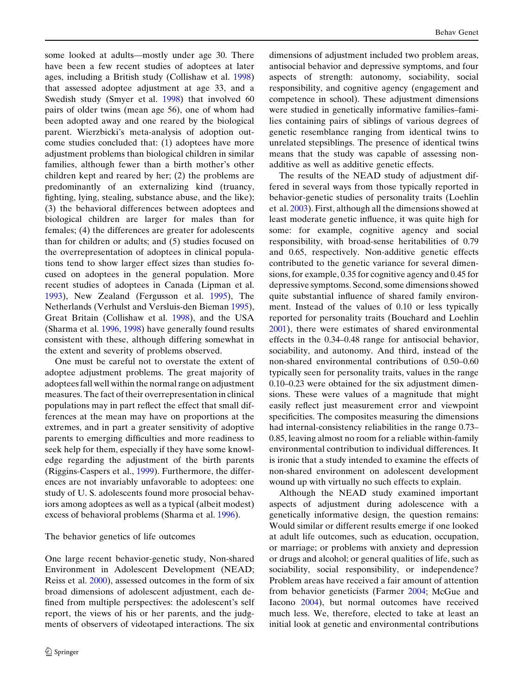some looked at adults—mostly under age 30. There have been a few recent studies of adoptees at later ages, including a British study (Collishaw et al. 1998) that assessed adoptee adjustment at age 33, and a Swedish study (Smyer et al. 1998) that involved 60 pairs of older twins (mean age 56), one of whom had been adopted away and one reared by the biological parent. Wierzbicki's meta-analysis of adoption outcome studies concluded that: (1) adoptees have more adjustment problems than biological children in similar families, although fewer than a birth mother's other children kept and reared by her; (2) the problems are predominantly of an externalizing kind (truancy, fighting, lying, stealing, substance abuse, and the like); (3) the behavioral differences between adoptees and biological children are larger for males than for females; (4) the differences are greater for adolescents than for children or adults; and (5) studies focused on the overrepresentation of adoptees in clinical populations tend to show larger effect sizes than studies focused on adoptees in the general population. More recent studies of adoptees in Canada (Lipman et al. 1993), New Zealand (Fergusson et al. 1995), The Netherlands (Verhulst and Versluis-den Bieman 1995), Great Britain (Collishaw et al. 1998), and the USA (Sharma et al. 1996, 1998) have generally found results consistent with these, although differing somewhat in the extent and severity of problems observed.

One must be careful not to overstate the extent of adoptee adjustment problems. The great majority of adoptees fall well within the normal range on adjustment measures. The fact of their overrepresentation in clinical populations may in part reflect the effect that small differences at the mean may have on proportions at the extremes, and in part a greater sensitivity of adoptive parents to emerging difficulties and more readiness to seek help for them, especially if they have some knowledge regarding the adjustment of the birth parents (Riggins-Caspers et al., 1999). Furthermore, the differences are not invariably unfavorable to adoptees: one study of U. S. adolescents found more prosocial behaviors among adoptees as well as a typical (albeit modest) excess of behavioral problems (Sharma et al. 1996).

#### The behavior genetics of life outcomes

One large recent behavior-genetic study, Non-shared Environment in Adolescent Development (NEAD; Reiss et al. 2000), assessed outcomes in the form of six broad dimensions of adolescent adjustment, each defined from multiple perspectives: the adolescent's self report, the views of his or her parents, and the judgments of observers of videotaped interactions. The six

dimensions of adjustment included two problem areas, antisocial behavior and depressive symptoms, and four aspects of strength: autonomy, sociability, social responsibility, and cognitive agency (engagement and competence in school). These adjustment dimensions were studied in genetically informative families–families containing pairs of siblings of various degrees of genetic resemblance ranging from identical twins to unrelated stepsiblings. The presence of identical twins means that the study was capable of assessing nonadditive as well as additive genetic effects.

The results of the NEAD study of adjustment differed in several ways from those typically reported in behavior-genetic studies of personality traits (Loehlin et al. 2003). First, although all the dimensions showed at least moderate genetic influence, it was quite high for some: for example, cognitive agency and social responsibility, with broad-sense heritabilities of 0.79 and 0.65, respectively. Non-additive genetic effects contributed to the genetic variance for several dimensions, for example, 0.35 for cognitive agency and 0.45 for depressive symptoms. Second, some dimensions showed quite substantial influence of shared family environment. Instead of the values of 0.10 or less typically reported for personality traits (Bouchard and Loehlin 2001), there were estimates of shared environmental effects in the 0.34–0.48 range for antisocial behavior, sociability, and autonomy. And third, instead of the non-shared environmental contributions of 0.50–0.60 typically seen for personality traits, values in the range 0.10–0.23 were obtained for the six adjustment dimensions. These were values of a magnitude that might easily reflect just measurement error and viewpoint specificities. The composites measuring the dimensions had internal-consistency reliabilities in the range 0.73– 0.85, leaving almost no room for a reliable within-family environmental contribution to individual differences. It is ironic that a study intended to examine the effects of non-shared environment on adolescent development wound up with virtually no such effects to explain.

Although the NEAD study examined important aspects of adjustment during adolescence with a genetically informative design, the question remains: Would similar or different results emerge if one looked at adult life outcomes, such as education, occupation, or marriage; or problems with anxiety and depression or drugs and alcohol; or general qualities of life, such as sociability, social responsibility, or independence? Problem areas have received a fair amount of attention from behavior geneticists (Farmer 2004; McGue and Iacono 2004), but normal outcomes have received much less. We, therefore, elected to take at least an initial look at genetic and environmental contributions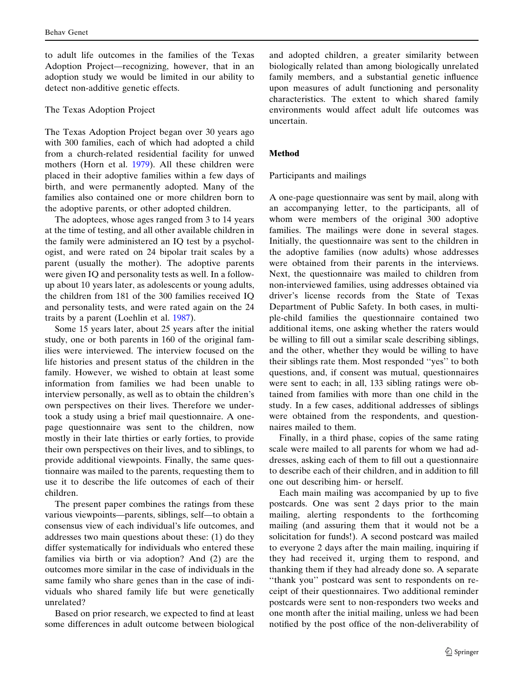to adult life outcomes in the families of the Texas Adoption Project—recognizing, however, that in an adoption study we would be limited in our ability to detect non-additive genetic effects.

# The Texas Adoption Project

The Texas Adoption Project began over 30 years ago with 300 families, each of which had adopted a child from a church-related residential facility for unwed mothers (Horn et al. 1979). All these children were placed in their adoptive families within a few days of birth, and were permanently adopted. Many of the families also contained one or more children born to the adoptive parents, or other adopted children.

The adoptees, whose ages ranged from 3 to 14 years at the time of testing, and all other available children in the family were administered an IQ test by a psychologist, and were rated on 24 bipolar trait scales by a parent (usually the mother). The adoptive parents were given IQ and personality tests as well. In a followup about 10 years later, as adolescents or young adults, the children from 181 of the 300 families received IQ and personality tests, and were rated again on the 24 traits by a parent (Loehlin et al. 1987).

Some 15 years later, about 25 years after the initial study, one or both parents in 160 of the original families were interviewed. The interview focused on the life histories and present status of the children in the family. However, we wished to obtain at least some information from families we had been unable to interview personally, as well as to obtain the children's own perspectives on their lives. Therefore we undertook a study using a brief mail questionnaire. A onepage questionnaire was sent to the children, now mostly in their late thirties or early forties, to provide their own perspectives on their lives, and to siblings, to provide additional viewpoints. Finally, the same questionnaire was mailed to the parents, requesting them to use it to describe the life outcomes of each of their children.

The present paper combines the ratings from these various viewpoints—parents, siblings, self—to obtain a consensus view of each individual's life outcomes, and addresses two main questions about these: (1) do they differ systematically for individuals who entered these families via birth or via adoption? And (2) are the outcomes more similar in the case of individuals in the same family who share genes than in the case of individuals who shared family life but were genetically unrelated?

Based on prior research, we expected to find at least some differences in adult outcome between biological

and adopted children, a greater similarity between biologically related than among biologically unrelated family members, and a substantial genetic influence upon measures of adult functioning and personality characteristics. The extent to which shared family environments would affect adult life outcomes was uncertain.

# Method

# Participants and mailings

A one-page questionnaire was sent by mail, along with an accompanying letter, to the participants, all of whom were members of the original 300 adoptive families. The mailings were done in several stages. Initially, the questionnaire was sent to the children in the adoptive families (now adults) whose addresses were obtained from their parents in the interviews. Next, the questionnaire was mailed to children from non-interviewed families, using addresses obtained via driver's license records from the State of Texas Department of Public Safety. In both cases, in multiple-child families the questionnaire contained two additional items, one asking whether the raters would be willing to fill out a similar scale describing siblings, and the other, whether they would be willing to have their siblings rate them. Most responded ''yes'' to both questions, and, if consent was mutual, questionnaires were sent to each; in all, 133 sibling ratings were obtained from families with more than one child in the study. In a few cases, additional addresses of siblings were obtained from the respondents, and questionnaires mailed to them.

Finally, in a third phase, copies of the same rating scale were mailed to all parents for whom we had addresses, asking each of them to fill out a questionnaire to describe each of their children, and in addition to fill one out describing him- or herself.

Each main mailing was accompanied by up to five postcards. One was sent 2 days prior to the main mailing, alerting respondents to the forthcoming mailing (and assuring them that it would not be a solicitation for funds!). A second postcard was mailed to everyone 2 days after the main mailing, inquiring if they had received it, urging them to respond, and thanking them if they had already done so. A separate ''thank you'' postcard was sent to respondents on receipt of their questionnaires. Two additional reminder postcards were sent to non-responders two weeks and one month after the initial mailing, unless we had been notified by the post office of the non-deliverability of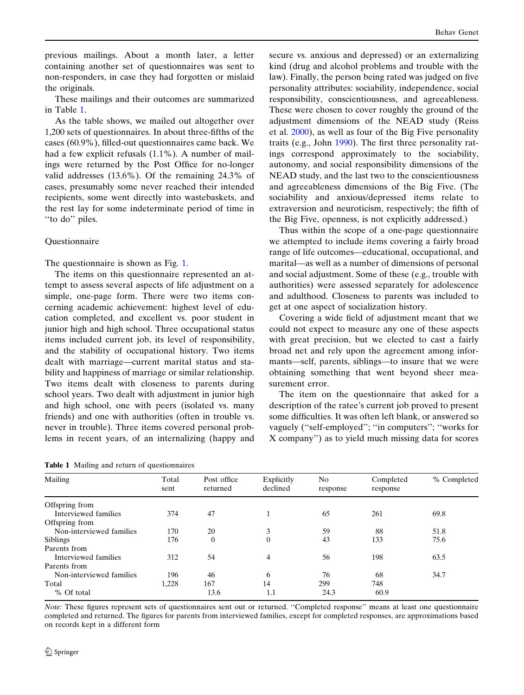previous mailings. About a month later, a letter containing another set of questionnaires was sent to non-responders, in case they had forgotten or mislaid the originals.

These mailings and their outcomes are summarized in Table 1.

As the table shows, we mailed out altogether over 1,200 sets of questionnaires. In about three-fifths of the cases (60.9%), filled-out questionnaires came back. We had a few explicit refusals (1.1%). A number of mailings were returned by the Post Office for no-longer valid addresses (13.6%). Of the remaining 24.3% of cases, presumably some never reached their intended recipients, some went directly into wastebaskets, and the rest lay for some indeterminate period of time in "to do" piles.

# **Ouestionnaire**

The questionnaire is shown as Fig. 1.

The items on this questionnaire represented an attempt to assess several aspects of life adjustment on a simple, one-page form. There were two items concerning academic achievement: highest level of education completed, and excellent vs. poor student in junior high and high school. Three occupational status items included current job, its level of responsibility, and the stability of occupational history. Two items dealt with marriage—current marital status and stability and happiness of marriage or similar relationship. Two items dealt with closeness to parents during school years. Two dealt with adjustment in junior high and high school, one with peers (isolated vs. many friends) and one with authorities (often in trouble vs. never in trouble). Three items covered personal problems in recent years, of an internalizing (happy and

Table 1 Mailing and return of questionnaires

secure vs. anxious and depressed) or an externalizing kind (drug and alcohol problems and trouble with the law). Finally, the person being rated was judged on five personality attributes: sociability, independence, social responsibility, conscientiousness, and agreeableness. These were chosen to cover roughly the ground of the adjustment dimensions of the NEAD study (Reiss et al. 2000), as well as four of the Big Five personality traits (e.g., John 1990). The first three personality ratings correspond approximately to the sociability, autonomy, and social responsibility dimensions of the NEAD study, and the last two to the conscientiousness and agreeableness dimensions of the Big Five. (The sociability and anxious/depressed items relate to extraversion and neuroticism, respectively; the fifth of the Big Five, openness, is not explicitly addressed.)

Thus within the scope of a one-page questionnaire we attempted to include items covering a fairly broad range of life outcomes—educational, occupational, and marital—as well as a number of dimensions of personal and social adjustment. Some of these (e.g., trouble with authorities) were assessed separately for adolescence and adulthood. Closeness to parents was included to get at one aspect of socialization history.

Covering a wide field of adjustment meant that we could not expect to measure any one of these aspects with great precision, but we elected to cast a fairly broad net and rely upon the agreement among informants—self, parents, siblings—to insure that we were obtaining something that went beyond sheer measurement error.

The item on the questionnaire that asked for a description of the ratee's current job proved to present some difficulties. It was often left blank, or answered so vaguely (''self-employed''; ''in computers''; ''works for X company'') as to yield much missing data for scores

| Mailing                  | Total<br>sent | Post office<br>returned | Explicitly<br>declined | No<br>response | Completed<br>response | % Completed |
|--------------------------|---------------|-------------------------|------------------------|----------------|-----------------------|-------------|
| Offspring from           |               |                         |                        |                |                       |             |
| Interviewed families     | 374           | 47                      |                        | 65             | 261                   | 69.8        |
| Offspring from           |               |                         |                        |                |                       |             |
| Non-interviewed families | 170           | 20                      | 3                      | 59             | 88                    | 51.8        |
| <b>Siblings</b>          | 176           | $\Omega$                | $\overline{0}$         | 43             | 133                   | 75.6        |
| Parents from             |               |                         |                        |                |                       |             |
| Interviewed families     | 312           | 54                      | 4                      | 56             | 198                   | 63.5        |
| Parents from             |               |                         |                        |                |                       |             |
| Non-interviewed families | 196           | 46                      | 6                      | 76             | 68                    | 34.7        |
| Total                    | 1,228         | 167                     | 14                     | 299            | 748                   |             |
| % Of total               |               | 13.6                    | 1.1                    | 24.3           | 60.9                  |             |

*Note:* These figures represent sets of questionnaires sent out or returned. "Completed response" means at least one questionnaire completed and returned. The figures for parents from interviewed families, except for completed responses, are approximations based on records kept in a different form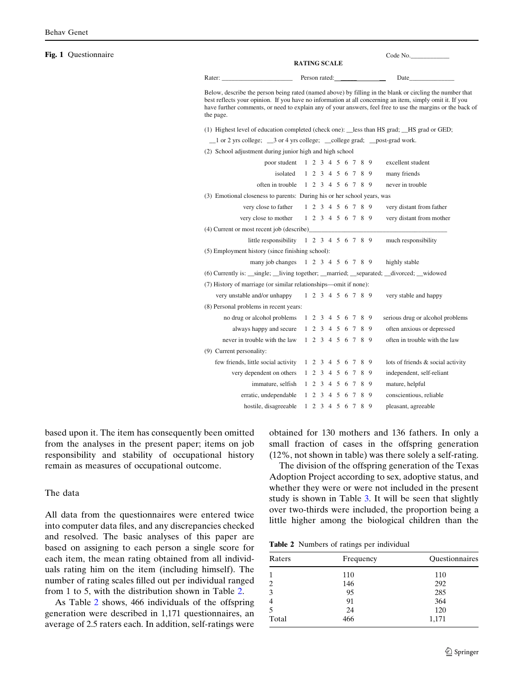| Fig. 1 Questionnaire |                                                                                                                                                                                                                                                                                                                                                 | Code No.                          |  |  |  |  |  |  |  |
|----------------------|-------------------------------------------------------------------------------------------------------------------------------------------------------------------------------------------------------------------------------------------------------------------------------------------------------------------------------------------------|-----------------------------------|--|--|--|--|--|--|--|
|                      | <b>RATING SCALE</b>                                                                                                                                                                                                                                                                                                                             |                                   |  |  |  |  |  |  |  |
|                      | Person rated:<br>Date<br>Rater:                                                                                                                                                                                                                                                                                                                 |                                   |  |  |  |  |  |  |  |
|                      | Below, describe the person being rated (named above) by filling in the blank or circling the number that<br>best reflects your opinion. If you have no information at all concerning an item, simply omit it. If you<br>have further comments, or need to explain any of your answers, feel free to use the margins or the back of<br>the page. |                                   |  |  |  |  |  |  |  |
|                      | (1) Highest level of education completed (check one): less than HS grad; HS grad or GED;                                                                                                                                                                                                                                                        |                                   |  |  |  |  |  |  |  |
|                      | _1 or 2 yrs college; _3 or 4 yrs college; _college grad; _post-grad work.                                                                                                                                                                                                                                                                       |                                   |  |  |  |  |  |  |  |
|                      | (2) School adjustment during junior high and high school                                                                                                                                                                                                                                                                                        |                                   |  |  |  |  |  |  |  |
|                      | poor student 1 2 3 4 5 6 7 8 9<br>excellent student                                                                                                                                                                                                                                                                                             |                                   |  |  |  |  |  |  |  |
|                      | isolated 1 2 3 4 5 6 7 8 9<br>many friends                                                                                                                                                                                                                                                                                                      |                                   |  |  |  |  |  |  |  |
|                      | often in trouble 1 2 3 4 5 6 7 8 9<br>never in trouble                                                                                                                                                                                                                                                                                          |                                   |  |  |  |  |  |  |  |
|                      | (3) Emotional closeness to parents: During his or her school years, was                                                                                                                                                                                                                                                                         |                                   |  |  |  |  |  |  |  |
|                      | 1 2 3 4 5 6 7 8 9<br>very close to father                                                                                                                                                                                                                                                                                                       | very distant from father          |  |  |  |  |  |  |  |
|                      | 1 2 3 4 5 6 7 8 9<br>very close to mother                                                                                                                                                                                                                                                                                                       | very distant from mother          |  |  |  |  |  |  |  |
|                      | (4) Current or most recent job (describe)                                                                                                                                                                                                                                                                                                       |                                   |  |  |  |  |  |  |  |
|                      | little responsibility $1\ 2\ 3\ 4\ 5\ 6\ 7\ 8\ 9$                                                                                                                                                                                                                                                                                               | much responsibility               |  |  |  |  |  |  |  |
|                      | (5) Employment history (since finishing school):                                                                                                                                                                                                                                                                                                |                                   |  |  |  |  |  |  |  |
|                      | many job changes 1 2 3 4 5 6 7 8 9<br>highly stable                                                                                                                                                                                                                                                                                             |                                   |  |  |  |  |  |  |  |
|                      | (6) Currently is: _single; _living together; _married; _separated; _divorced; _widowed                                                                                                                                                                                                                                                          |                                   |  |  |  |  |  |  |  |
|                      | (7) History of marriage (or similar relationships—omit if none):                                                                                                                                                                                                                                                                                |                                   |  |  |  |  |  |  |  |
|                      | very unstable and/or unhappy 1 2 3 4 5 6 7 8 9                                                                                                                                                                                                                                                                                                  | very stable and happy             |  |  |  |  |  |  |  |
|                      | (8) Personal problems in recent years:                                                                                                                                                                                                                                                                                                          |                                   |  |  |  |  |  |  |  |
|                      | no drug or alcohol problems 1 2 3 4 5 6 7 8 9                                                                                                                                                                                                                                                                                                   | serious drug or alcohol problems  |  |  |  |  |  |  |  |
|                      | always happy and secure $1\ 2\ 3\ 4\ 5\ 6\ 7\ 8\ 9$                                                                                                                                                                                                                                                                                             | often anxious or depressed        |  |  |  |  |  |  |  |
|                      | never in trouble with the law 1 2 3 4 5 6 7 8 9                                                                                                                                                                                                                                                                                                 | often in trouble with the law     |  |  |  |  |  |  |  |
|                      | (9) Current personality:                                                                                                                                                                                                                                                                                                                        |                                   |  |  |  |  |  |  |  |
|                      | few friends, little social activity 1 2 3 4 5 6 7 8 9                                                                                                                                                                                                                                                                                           | lots of friends & social activity |  |  |  |  |  |  |  |
|                      | very dependent on others 1 2 3 4 5 6 7 8 9                                                                                                                                                                                                                                                                                                      | independent, self-reliant         |  |  |  |  |  |  |  |
|                      | immature, selfish 1 2 3 4 5 6 7 8 9<br>mature, helpful                                                                                                                                                                                                                                                                                          |                                   |  |  |  |  |  |  |  |
|                      | erratic, undependable 1 2 3 4 5 6 7 8 9                                                                                                                                                                                                                                                                                                         | conscientious, reliable           |  |  |  |  |  |  |  |
|                      | hostile, disagreeable 1 2 3 4 5 6 7 8 9                                                                                                                                                                                                                                                                                                         | pleasant, agreeable               |  |  |  |  |  |  |  |

based upon it. The item has consequently been omitted from the analyses in the present paper; items on job responsibility and stability of occupational history remain as measures of occupational outcome.

# The data

All data from the questionnaires were entered twice into computer data files, and any discrepancies checked and resolved. The basic analyses of this paper are based on assigning to each person a single score for each item, the mean rating obtained from all individuals rating him on the item (including himself). The number of rating scales filled out per individual ranged from 1 to 5, with the distribution shown in Table 2.

As Table 2 shows, 466 individuals of the offspring generation were described in 1,171 questionnaires, an average of 2.5 raters each. In addition, self-ratings were obtained for 130 mothers and 136 fathers. In only a small fraction of cases in the offspring generation (12%, not shown in table) was there solely a self-rating.

The division of the offspring generation of the Texas Adoption Project according to sex, adoptive status, and whether they were or were not included in the present study is shown in Table 3. It will be seen that slightly over two-thirds were included, the proportion being a little higher among the biological children than the

|  | <b>Table 2</b> Numbers of ratings per individual |  |  |  |  |  |
|--|--------------------------------------------------|--|--|--|--|--|
|--|--------------------------------------------------|--|--|--|--|--|

| Raters | Frequency | <b>Ouestionnaires</b> |
|--------|-----------|-----------------------|
| 1      | 110       | 110                   |
| 2      | 146       | 292                   |
| 3      | 95        | 285                   |
| 4      | 91        | 364                   |
| 5      | 24        | 120                   |
| Total  | 466       | 1,171                 |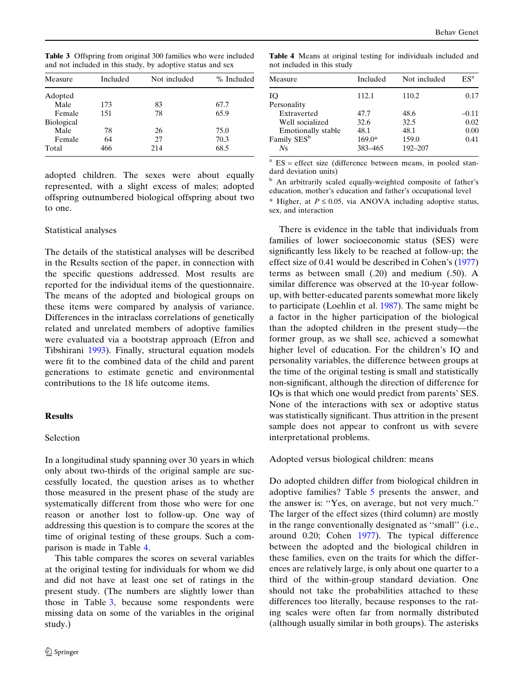Table 3 Offspring from original 300 families who were included and not included in this study, by adoptive status and sex

| Measure    | Included | Not included | % Included |
|------------|----------|--------------|------------|
| Adopted    |          |              |            |
| Male       | 173      | 83           | 67.7       |
| Female     | 151      | 78           | 65.9       |
| Biological |          |              |            |
| Male       | 78       | 26           | 75.0       |
| Female     | 64       | 27           | 70.3       |
| Total      | 466      | 214          | 68.5       |

adopted children. The sexes were about equally represented, with a slight excess of males; adopted offspring outnumbered biological offspring about two to one.

#### Statistical analyses

The details of the statistical analyses will be described in the Results section of the paper, in connection with the specific questions addressed. Most results are reported for the individual items of the questionnaire. The means of the adopted and biological groups on these items were compared by analysis of variance. Differences in the intraclass correlations of genetically related and unrelated members of adoptive families were evaluated via a bootstrap approach (Efron and Tibshirani 1993). Finally, structural equation models were fit to the combined data of the child and parent generations to estimate genetic and environmental contributions to the 18 life outcome items.

# Results

## Selection

In a longitudinal study spanning over 30 years in which only about two-thirds of the original sample are successfully located, the question arises as to whether those measured in the present phase of the study are systematically different from those who were for one reason or another lost to follow-up. One way of addressing this question is to compare the scores at the time of original testing of these groups. Such a comparison is made in Table 4.

This table compares the scores on several variables at the original testing for individuals for whom we did and did not have at least one set of ratings in the present study. (The numbers are slightly lower than those in Table 3, because some respondents were missing data on some of the variables in the original study.)

Table 4 Means at original testing for individuals included and not included in this study

| Measure                   | Included | Not included | ES <sup>a</sup> |
|---------------------------|----------|--------------|-----------------|
| Ю                         | 112.1    | 110.2        | 0.17            |
| Personality               |          |              |                 |
| Extraverted               | 47.7     | 48.6         | $-0.11$         |
| Well socialized           | 32.6     | 32.5         | 0.02            |
| <b>Emotionally stable</b> | 48.1     | 48.1         | 0.00            |
| Family SES <sup>b</sup>   | $169.0*$ | 159.0        | 0.41            |
| <b>Ns</b>                 | 383-465  | 192-207      |                 |

 $a$  ES = effect size (difference between means, in pooled standard deviation units)

<sup>b</sup> An arbitrarily scaled equally-weighted composite of father's education, mother's education and father's occupational level \* Higher, at  $P \le 0.05$ , via ANOVA including adoptive status,

sex, and interaction

There is evidence in the table that individuals from families of lower socioeconomic status (SES) were significantly less likely to be reached at follow-up; the effect size of 0.41 would be described in Cohen's (1977) terms as between small (.20) and medium (.50). A similar difference was observed at the 10-year followup, with better-educated parents somewhat more likely to participate (Loehlin et al. 1987). The same might be a factor in the higher participation of the biological than the adopted children in the present study—the former group, as we shall see, achieved a somewhat higher level of education. For the children's IQ and personality variables, the difference between groups at the time of the original testing is small and statistically non-significant, although the direction of difference for IQs is that which one would predict from parents' SES. None of the interactions with sex or adoptive status was statistically significant. Thus attrition in the present sample does not appear to confront us with severe interpretational problems.

Adopted versus biological children: means

Do adopted children differ from biological children in adoptive families? Table 5 presents the answer, and the answer is: ''Yes, on average, but not very much.'' The larger of the effect sizes (third column) are mostly in the range conventionally designated as ''small'' (i.e., around 0.20; Cohen 1977). The typical difference between the adopted and the biological children in these families, even on the traits for which the differences are relatively large, is only about one quarter to a third of the within-group standard deviation. One should not take the probabilities attached to these differences too literally, because responses to the rating scales were often far from normally distributed (although usually similar in both groups). The asterisks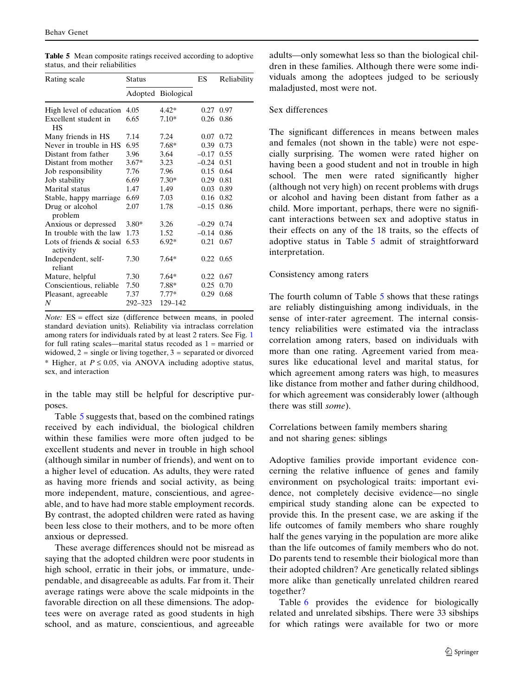| <b>Table 5</b> Mean composite ratings received according to adoptive |
|----------------------------------------------------------------------|
| status, and their reliabilities                                      |

| Rating scale                         | Status          |                    | ES       | Reliability       |
|--------------------------------------|-----------------|--------------------|----------|-------------------|
|                                      |                 | Adopted Biological |          |                   |
| High level of education              | 4.05            | $4.42*$            | 0.27     | 0.97              |
| Excellent student in<br><b>HS</b>    | 6.65            | $7.10*$            | 0.26     | 0.86              |
| Many friends in HS                   | 7.14            | 7.24               | 0.07     | 0.72              |
| Never in trouble in HS               | 6.95            | 7.68*              | 0.39     | 0.73              |
| Distant from father                  | 3.96            | 3.64               | $-0.17$  | 0.55              |
| Distant from mother                  | $3.67*$         | 3.23               | $-0.24$  | 0.51              |
| Job responsibility                   | 7.76            | 7.96               | 0.15     | 0.64              |
| Job stability                        | 6.69            | $7.30*$            | 0.29     | 0.81              |
| Marital status                       | 1.47            | 1.49               | $0.03 -$ | 0.89              |
| Stable, happy marriage               | 6.69            | 7.03               | 0.16     | 0.82              |
| Drug or alcohol<br>problem           | 2.07            | 1.78               | $-0.15$  | 0.86              |
| Anxious or depressed                 | $3.80*$         | 3.26               | $-0.29$  | 0.74              |
| In trouble with the law              | 1.73            | 1.52               | $-0.14$  | 0.86              |
| Lots of friends & social<br>activity | 6.53            | $6.92*$            | 0.21     | 0.67              |
| Independent, self-<br>reliant        | 7.30            | $7.64*$            |          | $0.22 \quad 0.65$ |
| Mature, helpful                      | 7.30            | $7.64*$            | 0.22     | 0.67              |
| Conscientious, reliable              | 7.50            | 7.88*              | 0.25     | 0.70              |
| Pleasant, agreeable<br>N             | 7.37<br>292-323 | $7.77*$<br>129-142 | 0.29     | 0.68              |

*Note:* ES = effect size (difference between means, in pooled standard deviation units). Reliability via intraclass correlation among raters for individuals rated by at least 2 raters. See Fig. 1 for full rating scales—marital status recoded as 1 = married or widowed,  $2 = \text{single or living together}$ ,  $3 = \text{separated or diverge}$ \* Higher, at  $P \le 0.05$ , via ANOVA including adoptive status, sex, and interaction

in the table may still be helpful for descriptive purposes.

Table 5 suggests that, based on the combined ratings received by each individual, the biological children within these families were more often judged to be excellent students and never in trouble in high school (although similar in number of friends), and went on to a higher level of education. As adults, they were rated as having more friends and social activity, as being more independent, mature, conscientious, and agreeable, and to have had more stable employment records. By contrast, the adopted children were rated as having been less close to their mothers, and to be more often anxious or depressed.

These average differences should not be misread as saying that the adopted children were poor students in high school, erratic in their jobs, or immature, undependable, and disagreeable as adults. Far from it. Their average ratings were above the scale midpoints in the favorable direction on all these dimensions. The adoptees were on average rated as good students in high school, and as mature, conscientious, and agreeable

adults—only somewhat less so than the biological children in these families. Although there were some individuals among the adoptees judged to be seriously maladjusted, most were not.

#### Sex differences

The significant differences in means between males and females (not shown in the table) were not especially surprising. The women were rated higher on having been a good student and not in trouble in high school. The men were rated significantly higher (although not very high) on recent problems with drugs or alcohol and having been distant from father as a child. More important, perhaps, there were no significant interactions between sex and adoptive status in their effects on any of the 18 traits, so the effects of adoptive status in Table 5 admit of straightforward interpretation.

## Consistency among raters

The fourth column of Table 5 shows that these ratings are reliably distinguishing among individuals, in the sense of inter-rater agreement. The internal consistency reliabilities were estimated via the intraclass correlation among raters, based on individuals with more than one rating. Agreement varied from measures like educational level and marital status, for which agreement among raters was high, to measures like distance from mother and father during childhood, for which agreement was considerably lower (although there was still *some*).

Correlations between family members sharing and not sharing genes: siblings

Adoptive families provide important evidence concerning the relative influence of genes and family environment on psychological traits: important evidence, not completely decisive evidence—no single empirical study standing alone can be expected to provide this. In the present case, we are asking if the life outcomes of family members who share roughly half the genes varying in the population are more alike than the life outcomes of family members who do not. Do parents tend to resemble their biological more than their adopted children? Are genetically related siblings more alike than genetically unrelated children reared together?

Table 6 provides the evidence for biologically related and unrelated sibships. There were 33 sibships for which ratings were available for two or more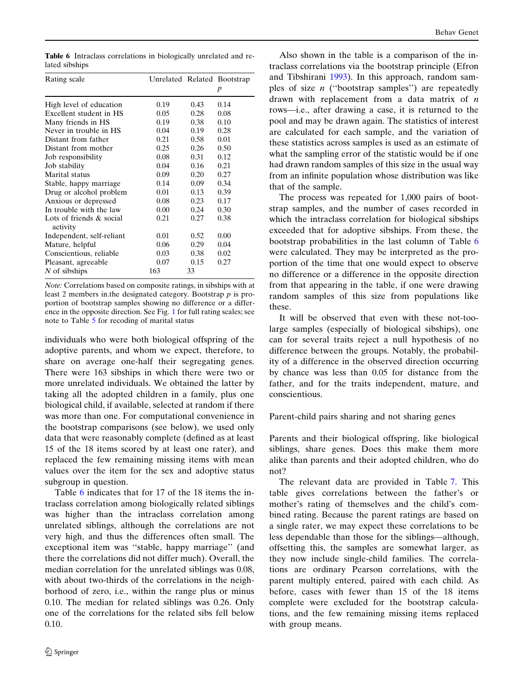Table 6 Intraclass correlations in biologically unrelated and related sibships

| Rating scale                         | Unrelated Related Bootstrap |      |      |
|--------------------------------------|-----------------------------|------|------|
|                                      |                             |      | p    |
| High level of education              | 0.19                        | 0.43 | 0.14 |
| Excellent student in HS              | 0.05                        | 0.28 | 0.08 |
| Many friends in HS                   | 0.19                        | 0.38 | 0.10 |
| Never in trouble in HS               | 0.04                        | 0.19 | 0.28 |
| Distant from father                  | 0.21                        | 0.58 | 0.01 |
| Distant from mother                  | 0.25                        | 0.26 | 0.50 |
| Job responsibility                   | 0.08                        | 0.31 | 0.12 |
| Job stability                        | 0.04                        | 0.16 | 0.21 |
| Marital status                       | 0.09                        | 0.20 | 0.27 |
| Stable, happy marriage               | 0.14                        | 0.09 | 0.34 |
| Drug or alcohol problem              | 0.01                        | 0.13 | 0.39 |
| Anxious or depressed                 | 0.08                        | 0.23 | 0.17 |
| In trouble with the law              | 0.00                        | 0.24 | 0.30 |
| Lots of friends & social<br>activity | 0.21                        | 0.27 | 0.38 |
| Independent, self-reliant            | 0.01                        | 0.52 | 0.00 |
| Mature, helpful                      | 0.06                        | 0.29 | 0.04 |
| Conscientious, reliable              | 0.03                        | 0.38 | 0.02 |
| Pleasant, agreeable                  | 0.07                        | 0.15 | 0.27 |
| $N$ of sibships                      | 163                         | 33   |      |

*Note:* Correlations based on composite ratings, in sibships with at least 2 members in.the designated category. Bootstrap *p* is proportion of bootstrap samples showing no difference or a difference in the opposite direction. See Fig. 1 for full rating scales; see note to Table 5 for recoding of marital status

individuals who were both biological offspring of the adoptive parents, and whom we expect, therefore, to share on average one-half their segregating genes. There were 163 sibships in which there were two or more unrelated individuals. We obtained the latter by taking all the adopted children in a family, plus one biological child, if available, selected at random if there was more than one. For computational convenience in the bootstrap comparisons (see below), we used only data that were reasonably complete (defined as at least 15 of the 18 items scored by at least one rater), and replaced the few remaining missing items with mean values over the item for the sex and adoptive status subgroup in question.

Table 6 indicates that for 17 of the 18 items the intraclass correlation among biologically related siblings was higher than the intraclass correlation among unrelated siblings, although the correlations are not very high, and thus the differences often small. The exceptional item was ''stable, happy marriage'' (and there the correlations did not differ much). Overall, the median correlation for the unrelated siblings was 0.08, with about two-thirds of the correlations in the neighborhood of zero, i.e., within the range plus or minus 0.10. The median for related siblings was 0.26. Only one of the correlations for the related sibs fell below 0.10.

Also shown in the table is a comparison of the intraclass correlations via the bootstrap principle (Efron and Tibshirani 1993). In this approach, random samples of size *n* (''bootstrap samples'') are repeatedly drawn with replacement from a data matrix of *n* rows—i.e., after drawing a case, it is returned to the pool and may be drawn again. The statistics of interest are calculated for each sample, and the variation of these statistics across samples is used as an estimate of what the sampling error of the statistic would be if one had drawn random samples of this size in the usual way from an infinite population whose distribution was like that of the sample.

The process was repeated for 1,000 pairs of bootstrap samples, and the number of cases recorded in which the intraclass correlation for biological sibships exceeded that for adoptive sibships. From these, the bootstrap probabilities in the last column of Table 6 were calculated. They may be interpreted as the proportion of the time that one would expect to observe no difference or a difference in the opposite direction from that appearing in the table, if one were drawing random samples of this size from populations like these.

It will be observed that even with these not-toolarge samples (especially of biological sibships), one can for several traits reject a null hypothesis of no difference between the groups. Notably, the probability of a difference in the observed direction occurring by chance was less than 0.05 for distance from the father, and for the traits independent, mature, and conscientious.

Parent-child pairs sharing and not sharing genes

Parents and their biological offspring, like biological siblings, share genes. Does this make them more alike than parents and their adopted children, who do not?

The relevant data are provided in Table 7. This table gives correlations between the father's or mother's rating of themselves and the child's combined rating. Because the parent ratings are based on a single rater, we may expect these correlations to be less dependable than those for the siblings—although, offsetting this, the samples are somewhat larger, as they now include single-child families. The correlations are ordinary Pearson correlations, with the parent multiply entered, paired with each child. As before, cases with fewer than 15 of the 18 items complete were excluded for the bootstrap calculations, and the few remaining missing items replaced with group means.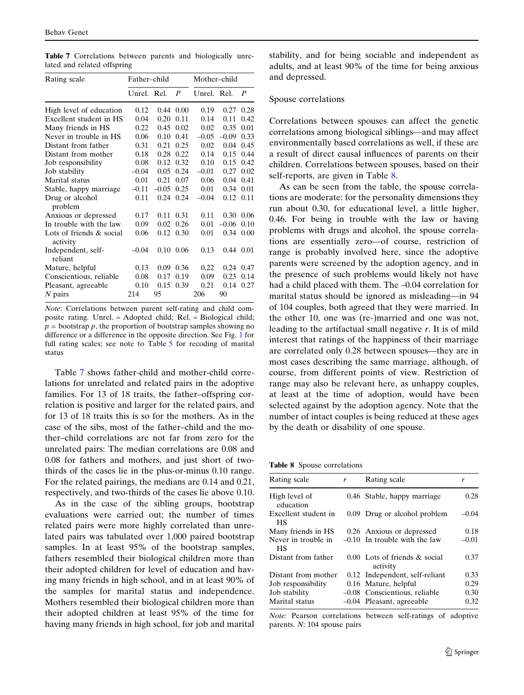Table 7 Correlations between parents and biologically unrelated and related offspring

| Rating scale                         |             | Father-child |      | Mother-child |         |      |
|--------------------------------------|-------------|--------------|------|--------------|---------|------|
|                                      | Unrel. Rel. |              | P    | Unrel. Rel.  |         | P    |
| High level of education              | 0.12        | 0.44         | 0.00 | 0.19         | 0.27    | 0.28 |
| Excellent student in HS              | 0.04        | 0.20         | 0.11 | 0.14         | 0.11    | 0.42 |
| Many friends in HS                   | 0.22        | 0.45         | 0.02 | 0.02         | 0.35    | 0.01 |
| Never in trouble in HS               | 0.06        | 0.10         | 0.41 | $-0.05$      | $-0.09$ | 0.33 |
| Distant from father                  | 0.31        | 0.21         | 0.25 | 0.02         | 0.04    | 0.45 |
| Distant from mother                  | 0.18        | 0.28         | 0.22 | 0.14         | 0.15    | 0.44 |
| Job responsibility                   | 0.08        | 0.12         | 0.32 | 0.10         | 0.15    | 0.42 |
| Job stability                        | $-0.04$     | 0.05         | 0.24 | $-0.01$      | 0.27    | 0.02 |
| Marital status                       | 0.01        | 0.21         | 0.07 | 0.06         | 0.04    | 0.41 |
| Stable, happy marriage               | $-0.11$     | $-0.05$      | 0.25 | 0.01         | 0.34    | 0.01 |
| Drug or alcohol<br>problem           | 0.11        | 0.24         | 0.24 | $-0.04$      | 0.12    | 0.11 |
| Anxious or depressed                 | 0.17        | 0.11         | 0.31 | 0.11         | 0.30    | 0.06 |
| In trouble with the law              | 0.09        | 0.02         | 0.26 | 0.01         | $-0.06$ | 0.10 |
| Lots of friends & social<br>activity | 0.06        | 0.12         | 0.30 | 0.01         | 0.34    | 0.00 |
| Independent, self-<br>reliant        | $-0.04$     | 0.10         | 0.06 | 0.13         | 0.44    | 0.01 |
| Mature, helpful                      | 0.13        | 0.09         | 0.36 | 0.22         | 0.24    | 0.47 |
| Conscientious, reliable              | 0.08        | 0.17         | 0.19 | 0.09         | 0.23    | 0.14 |
| Pleasant, agreeable                  | 0.10        | 0.15         | 0.39 | 0.21         | 0.14    | 0.27 |
| $N$ pairs                            | 214         | 95           |      | 206          | 90      |      |

*Note*: Correlations between parent self-rating and child composite rating. Unrel. = Adopted child; Rel. = Biological child;  $p =$  bootstrap  $p$ , the proportion of bootstrap samples showing no difference or a difference in the opposite direction. See Fig. 1 for full rating scales; see note to Table 5 for recoding of marital status

Table 7 shows father-child and mother-child correlations for unrelated and related pairs in the adoptive families. For 13 of 18 traits, the father–offspring correlation is positive and larger for the related pairs, and for 13 of 18 traits this is so for the mothers. As in the case of the sibs, most of the father–child and the mother–child correlations are not far from zero for the unrelated pairs: The median correlations are 0.08 and 0.08 for fathers and mothers, and just short of twothirds of the cases lie in the plus-or-minus 0.10 range. For the related pairings, the medians are 0.14 and 0.21, respectively, and two-thirds of the cases lie above 0.10.

As in the case of the sibling groups, bootstrap evaluations were carried out; the number of times related pairs were more highly correlated than unrelated pairs was tabulated over 1,000 paired bootstrap samples. In at least 95% of the bootstrap samples, fathers resembled their biological children more than their adopted children for level of education and having many friends in high school, and in at least 90% of the samples for marital status and independence. Mothers resembled their biological children more than their adopted children at least 95% of the time for having many friends in high school, for job and marital stability, and for being sociable and independent as adults, and at least 90% of the time for being anxious and depressed.

#### Spouse correlations

Correlations between spouses can affect the genetic correlations among biological siblings—and may affect environmentally based correlations as well, if these are a result of direct causal influences of parents on their children. Correlations between spouses, based on their self-reports, are given in Table 8.

As can be seen from the table, the spouse correlations are moderate: for the personality dimensions they run about 0.30, for educational level, a little higher, 0.46. For being in trouble with the law or having problems with drugs and alcohol, the spouse correlations are essentially zero—of course, restriction of range is probably involved here, since the adoptive parents were screened by the adoption agency, and in the presence of such problems would likely not have had a child placed with them. The  $-0.04$  correlation for marital status should be ignored as misleading—in 94 of 104 couples, both agreed that they were married. In the other 10, one was (re-)married and one was not, leading to the artifactual small negative *r*. It is of mild interest that ratings of the happiness of their marriage are correlated only 0.28 between spouses—they are in most cases describing the same marriage, although, of course, from different points of view. Restriction of range may also be relevant here, as unhappy couples, at least at the time of adoption, would have been selected against by the adoption agency. Note that the number of intact couples is being reduced at these ages by the death or disability of one spouse.

Table 8 Spouse correlations

| Rating scale                      | r | Rating scale                                   | r       |
|-----------------------------------|---|------------------------------------------------|---------|
| High level of<br>education        |   | 0.46 Stable, happy marriage                    | 0.28    |
| Excellent student in<br><b>HS</b> |   | 0.09 Drug or alcohol problem                   | $-0.04$ |
| Many friends in HS                |   | 0.26 Anxious or depressed                      | 0.18    |
| Never in trouble in<br>НS         |   | $-0.10$ In trouble with the law                | $-0.01$ |
| Distant from father               |   | $0.00$ Lots of friends $\&$ social<br>activity | 0.37    |
| Distant from mother               |   | 0.12 Independent, self-reliant                 | 0.33    |
| Job responsibility                |   | 0.16 Mature, helpful                           | 0.29    |
| Job stability                     |   | $-0.08$ Conscientious, reliable                | 0.30    |
| Marital status                    |   | $-0.04$ Pleasant, agreeable                    | 0.32    |

*Note:* Pearson correlations between self-ratings of adoptive parents. *N*: 104 spouse pairs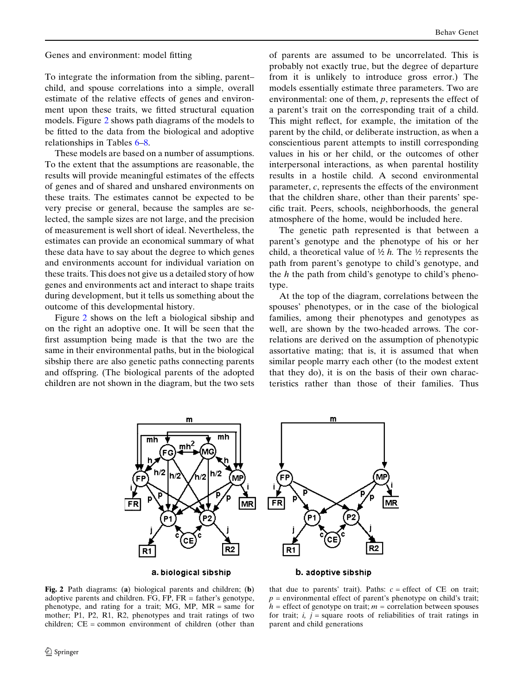To integrate the information from the sibling, parent– child, and spouse correlations into a simple, overall estimate of the relative effects of genes and environment upon these traits, we fitted structural equation models. Figure 2 shows path diagrams of the models to be fitted to the data from the biological and adoptive relationships in Tables 6–8.

These models are based on a number of assumptions. To the extent that the assumptions are reasonable, the results will provide meaningful estimates of the effects of genes and of shared and unshared environments on these traits. The estimates cannot be expected to be very precise or general, because the samples are selected, the sample sizes are not large, and the precision of measurement is well short of ideal. Nevertheless, the estimates can provide an economical summary of what these data have to say about the degree to which genes and environments account for individual variation on these traits. This does not give us a detailed story of how genes and environments act and interact to shape traits during development, but it tells us something about the outcome of this developmental history.

Figure 2 shows on the left a biological sibship and on the right an adoptive one. It will be seen that the first assumption being made is that the two are the same in their environmental paths, but in the biological sibship there are also genetic paths connecting parents and offspring. (The biological parents of the adopted children are not shown in the diagram, but the two sets of parents are assumed to be uncorrelated. This is probably not exactly true, but the degree of departure from it is unlikely to introduce gross error.) The models essentially estimate three parameters. Two are environmental: one of them, *p*, represents the effect of a parent's trait on the corresponding trait of a child. This might reflect, for example, the imitation of the parent by the child, or deliberate instruction, as when a conscientious parent attempts to instill corresponding values in his or her child, or the outcomes of other interpersonal interactions, as when parental hostility results in a hostile child. A second environmental parameter, *c*, represents the effects of the environment that the children share, other than their parents' specific trait. Peers, schools, neighborhoods, the general atmosphere of the home, would be included here.

The genetic path represented is that between a parent's genotype and the phenotype of his or her child, a theoretical value of ½ *h.* The ½ represents the path from parent's genotype to child's genotype, and the *h* the path from child's genotype to child's phenotype.

At the top of the diagram, correlations between the spouses' phenotypes, or in the case of the biological families, among their phenotypes and genotypes as well, are shown by the two-headed arrows. The correlations are derived on the assumption of phenotypic assortative mating; that is, it is assumed that when similar people marry each other (to the modest extent that they do), it is on the basis of their own characteristics rather than those of their families. Thus



a. biological sibship

b. adoptive sibship

Fig. 2 Path diagrams: (a) biological parents and children; (b) adoptive parents and children. FG, FP, FR = father's genotype, phenotype, and rating for a trait; MG, MP,  $MR = same$  for mother; P1, P2, R1, R2, phenotypes and trait ratings of two children; CE = common environment of children (other than

that due to parents' trait). Paths:  $c =$  effect of CE on trait;  $p =$  environmental effect of parent's phenotype on child's trait;  $h =$  effect of genotype on trait;  $m =$  correlation between spouses for trait;  $i, j$  = square roots of reliabilities of trait ratings in parent and child generations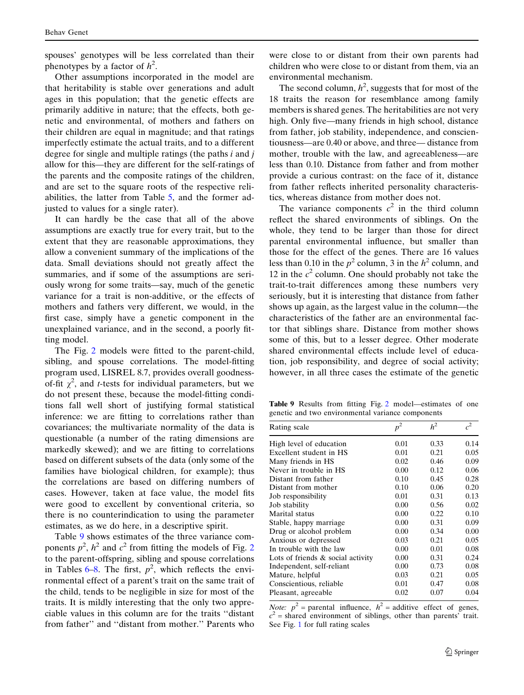spouses' genotypes will be less correlated than their phenotypes by a factor of  $h^2$ .

Other assumptions incorporated in the model are that heritability is stable over generations and adult ages in this population; that the genetic effects are primarily additive in nature; that the effects, both genetic and environmental, of mothers and fathers on their children are equal in magnitude; and that ratings imperfectly estimate the actual traits, and to a different degree for single and multiple ratings (the paths *i* and *j* allow for this—they are different for the self-ratings of the parents and the composite ratings of the children, and are set to the square roots of the respective reliabilities, the latter from Table 5, and the former adjusted to values for a single rater).

It can hardly be the case that all of the above assumptions are exactly true for every trait, but to the extent that they are reasonable approximations, they allow a convenient summary of the implications of the data. Small deviations should not greatly affect the summaries, and if some of the assumptions are seriously wrong for some traits—say, much of the genetic variance for a trait is non-additive, or the effects of mothers and fathers very different, we would, in the first case, simply have a genetic component in the unexplained variance, and in the second, a poorly fitting model.

The Fig. 2 models were fitted to the parent-child, sibling, and spouse correlations. The model-fitting program used, LISREL 8.7, provides overall goodnessof-fit  $\chi^2$ , and *t*-tests for individual parameters, but we do not present these, because the model-fitting conditions fall well short of justifying formal statistical inference: we are fitting to correlations rather than covariances; the multivariate normality of the data is questionable (a number of the rating dimensions are markedly skewed); and we are fitting to correlations based on different subsets of the data (only some of the families have biological children, for example); thus the correlations are based on differing numbers of cases. However, taken at face value, the model fits were good to excellent by conventional criteria, so there is no counterindication to using the parameter estimates, as we do here, in a descriptive spirit.

Table 9 shows estimates of the three variance components  $p^2$ ,  $h^2$  and  $c^2$  from fitting the models of Fig. 2 to the parent-offspring, sibling and spouse correlations in Tables  $6-8$ . The first,  $p^2$ , which reflects the environmental effect of a parent's trait on the same trait of the child, tends to be negligible in size for most of the traits. It is mildly interesting that the only two appreciable values in this column are for the traits ''distant from father'' and ''distant from mother.'' Parents who

were close to or distant from their own parents had children who were close to or distant from them, via an environmental mechanism.

The second column,  $h^2$ , suggests that for most of the 18 traits the reason for resemblance among family members is shared genes. The heritabilities are not very high. Only five—many friends in high school, distance from father, job stability, independence, and conscientiousness—are 0.40 or above, and three— distance from mother, trouble with the law, and agreeableness—are less than 0.10. Distance from father and from mother provide a curious contrast: on the face of it, distance from father reflects inherited personality characteristics, whereas distance from mother does not.

The variance components  $c^2$  in the third column reflect the shared environments of siblings. On the whole, they tend to be larger than those for direct parental environmental influence, but smaller than those for the effect of the genes. There are 16 values less than 0.10 in the  $p^2$  column, 3 in the  $h^2$  column, and 12 in the  $c^2$  column. One should probably not take the trait-to-trait differences among these numbers very seriously, but it is interesting that distance from father shows up again, as the largest value in the column—the characteristics of the father are an environmental factor that siblings share. Distance from mother shows some of this, but to a lesser degree. Other moderate shared environmental effects include level of education, job responsibility, and degree of social activity; however, in all three cases the estimate of the genetic

Table 9 Results from fitting Fig. 2 model—estimates of one genetic and two environmental variance components

| Rating scale                         | $p^2$ | h <sup>2</sup> | c <sup>2</sup> |
|--------------------------------------|-------|----------------|----------------|
| High level of education              | 0.01  | 0.33           | 0.14           |
| Excellent student in HS              | 0.01  | 0.21           | 0.05           |
| Many friends in HS                   | 0.02  | 0.46           | 0.09           |
| Never in trouble in HS               | 0.00  | 0.12           | 0.06           |
| Distant from father                  | 0.10  | 0.45           | 0.28           |
| Distant from mother                  | 0.10  | 0.06           | 0.20           |
| Job responsibility                   | 0.01  | 0.31           | 0.13           |
| Job stability                        | 0.00  | 0.56           | 0.02           |
| Marital status                       | 0.00  | 0.22           | 0.10           |
| Stable, happy marriage               | 0.00  | 0.31           | 0.09           |
| Drug or alcohol problem              | 0.00  | 0.34           | 0.00           |
| Anxious or depressed                 | 0.03  | 0.21           | 0.05           |
| In trouble with the law              | 0.00  | 0.01           | 0.08           |
| Lots of friends $\&$ social activity | 0.00  | 0.31           | 0.24           |
| Independent, self-reliant            | 0.00  | 0.73           | 0.08           |
| Mature, helpful                      | 0.03  | 0.21           | 0.05           |
| Conscientious, reliable              | 0.01  | 0.47           | 0.08           |
| Pleasant, agreeable                  | 0.02  | 0.07           | 0.04           |
|                                      |       |                |                |

*Note:*  $p^2$  = parental influence,  $h^2$  = additive effect of genes,  $c^2$  = shared environment of siblings, other than parents' trait. See Fig. 1 for full rating scales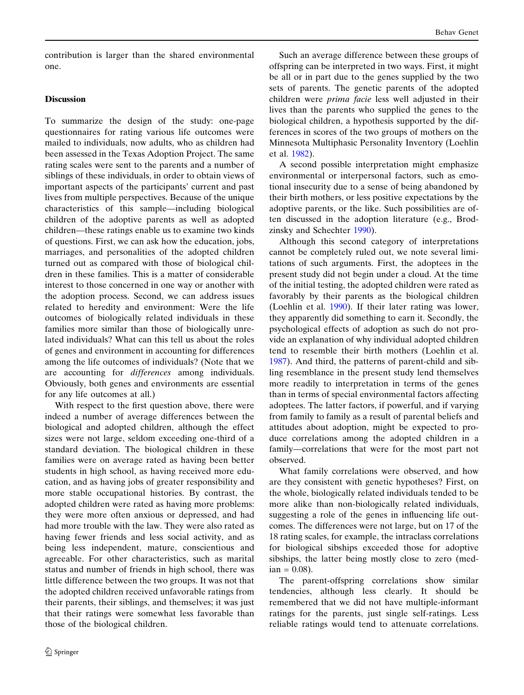contribution is larger than the shared environmental one.

# **Discussion**

To summarize the design of the study: one-page questionnaires for rating various life outcomes were mailed to individuals, now adults, who as children had been assessed in the Texas Adoption Project. The same rating scales were sent to the parents and a number of siblings of these individuals, in order to obtain views of important aspects of the participants' current and past lives from multiple perspectives. Because of the unique characteristics of this sample—including biological children of the adoptive parents as well as adopted children—these ratings enable us to examine two kinds of questions. First, we can ask how the education, jobs, marriages, and personalities of the adopted children turned out as compared with those of biological children in these families. This is a matter of considerable interest to those concerned in one way or another with the adoption process. Second, we can address issues related to heredity and environment: Were the life outcomes of biologically related individuals in these families more similar than those of biologically unrelated individuals? What can this tell us about the roles of genes and environment in accounting for differences among the life outcomes of individuals? (Note that we are accounting for *differences* among individuals. Obviously, both genes and environments are essential for any life outcomes at all.)

With respect to the first question above, there were indeed a number of average differences between the biological and adopted children, although the effect sizes were not large, seldom exceeding one-third of a standard deviation. The biological children in these families were on average rated as having been better students in high school, as having received more education, and as having jobs of greater responsibility and more stable occupational histories. By contrast, the adopted children were rated as having more problems: they were more often anxious or depressed, and had had more trouble with the law. They were also rated as having fewer friends and less social activity, and as being less independent, mature, conscientious and agreeable. For other characteristics, such as marital status and number of friends in high school, there was little difference between the two groups. It was not that the adopted children received unfavorable ratings from their parents, their siblings, and themselves; it was just that their ratings were somewhat less favorable than those of the biological children.

Such an average difference between these groups of offspring can be interpreted in two ways. First, it might be all or in part due to the genes supplied by the two sets of parents. The genetic parents of the adopted children were *prima facie* less well adjusted in their lives than the parents who supplied the genes to the biological children, a hypothesis supported by the differences in scores of the two groups of mothers on the Minnesota Multiphasic Personality Inventory (Loehlin et al. 1982).

A second possible interpretation might emphasize environmental or interpersonal factors, such as emotional insecurity due to a sense of being abandoned by their birth mothers, or less positive expectations by the adoptive parents, or the like. Such possibilities are often discussed in the adoption literature (e.g., Brodzinsky and Schechter 1990).

Although this second category of interpretations cannot be completely ruled out, we note several limitations of such arguments. First, the adoptees in the present study did not begin under a cloud. At the time of the initial testing, the adopted children were rated as favorably by their parents as the biological children (Loehlin et al. 1990). If their later rating was lower, they apparently did something to earn it. Secondly, the psychological effects of adoption as such do not provide an explanation of why individual adopted children tend to resemble their birth mothers (Loehlin et al. 1987). And third, the patterns of parent-child and sibling resemblance in the present study lend themselves more readily to interpretation in terms of the genes than in terms of special environmental factors affecting adoptees. The latter factors, if powerful, and if varying from family to family as a result of parental beliefs and attitudes about adoption, might be expected to produce correlations among the adopted children in a family—correlations that were for the most part not observed.

What family correlations were observed, and how are they consistent with genetic hypotheses? First, on the whole, biologically related individuals tended to be more alike than non-biologically related individuals, suggesting a role of the genes in influencing life outcomes. The differences were not large, but on 17 of the 18 rating scales, for example, the intraclass correlations for biological sibships exceeded those for adoptive sibships, the latter being mostly close to zero (med $ian = 0.08$ ).

The parent-offspring correlations show similar tendencies, although less clearly. It should be remembered that we did not have multiple-informant ratings for the parents, just single self-ratings. Less reliable ratings would tend to attenuate correlations.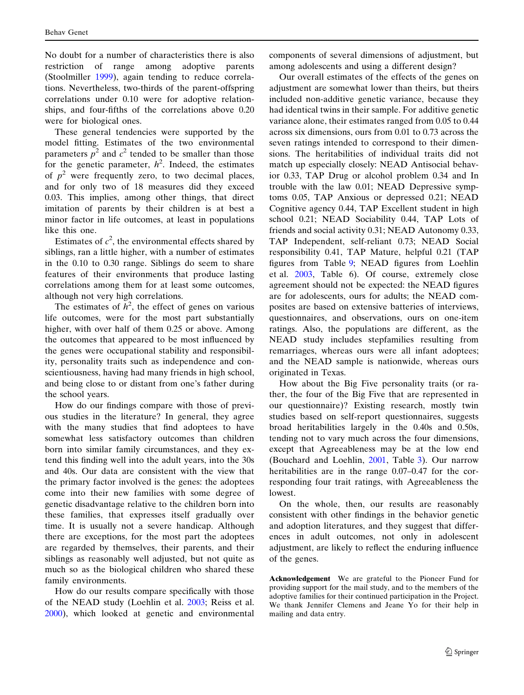No doubt for a number of characteristics there is also restriction of range among adoptive parents (Stoolmiller 1999), again tending to reduce correlations. Nevertheless, two-thirds of the parent-offspring correlations under 0.10 were for adoptive relationships, and four-fifths of the correlations above 0.20 were for biological ones.

These general tendencies were supported by the model fitting. Estimates of the two environmental parameters  $p^2$  and  $c^2$  tended to be smaller than those for the genetic parameter,  $h^2$ . Indeed, the estimates of  $p^2$  were frequently zero, to two decimal places, and for only two of 18 measures did they exceed 0.03. This implies, among other things, that direct imitation of parents by their children is at best a minor factor in life outcomes, at least in populations like this one.

Estimates of  $c^2$ , the environmental effects shared by siblings, ran a little higher, with a number of estimates in the 0.10 to 0.30 range. Siblings do seem to share features of their environments that produce lasting correlations among them for at least some outcomes, although not very high correlations.

The estimates of  $h^2$ , the effect of genes on various life outcomes, were for the most part substantially higher, with over half of them 0.25 or above. Among the outcomes that appeared to be most influenced by the genes were occupational stability and responsibility, personality traits such as independence and conscientiousness, having had many friends in high school, and being close to or distant from one's father during the school years.

How do our findings compare with those of previous studies in the literature? In general, they agree with the many studies that find adoptees to have somewhat less satisfactory outcomes than children born into similar family circumstances, and they extend this finding well into the adult years, into the 30s and 40s. Our data are consistent with the view that the primary factor involved is the genes: the adoptees come into their new families with some degree of genetic disadvantage relative to the children born into these families, that expresses itself gradually over time. It is usually not a severe handicap. Although there are exceptions, for the most part the adoptees are regarded by themselves, their parents, and their siblings as reasonably well adjusted, but not quite as much so as the biological children who shared these family environments.

How do our results compare specifically with those of the NEAD study (Loehlin et al. 2003; Reiss et al. 2000), which looked at genetic and environmental components of several dimensions of adjustment, but among adolescents and using a different design?

Our overall estimates of the effects of the genes on adjustment are somewhat lower than theirs, but theirs included non-additive genetic variance, because they had identical twins in their sample. For additive genetic variance alone, their estimates ranged from 0.05 to 0.44 across six dimensions, ours from 0.01 to 0.73 across the seven ratings intended to correspond to their dimensions. The heritabilities of individual traits did not match up especially closely: NEAD Antisocial behavior 0.33, TAP Drug or alcohol problem 0.34 and In trouble with the law 0.01; NEAD Depressive symptoms 0.05, TAP Anxious or depressed 0.21; NEAD Cognitive agency 0.44, TAP Excellent student in high school 0.21; NEAD Sociability 0.44, TAP Lots of friends and social activity 0.31; NEAD Autonomy 0.33, TAP Independent, self-reliant 0.73; NEAD Social responsibility 0.41, TAP Mature, helpful 0.21 (TAP figures from Table 9; NEAD figures from Loehlin et al. 2003, Table 6). Of course, extremely close agreement should not be expected: the NEAD figures are for adolescents, ours for adults; the NEAD composites are based on extensive batteries of interviews, questionnaires, and observations, ours on one-item ratings. Also, the populations are different, as the NEAD study includes stepfamilies resulting from remarriages, whereas ours were all infant adoptees; and the NEAD sample is nationwide, whereas ours originated in Texas.

How about the Big Five personality traits (or rather, the four of the Big Five that are represented in our questionnaire)? Existing research, mostly twin studies based on self-report questionnaires, suggests broad heritabilities largely in the 0.40s and 0.50s, tending not to vary much across the four dimensions, except that Agreeableness may be at the low end (Bouchard and Loehlin, 2001, Table 3). Our narrow heritabilities are in the range 0.07–0.47 for the corresponding four trait ratings, with Agreeableness the lowest.

On the whole, then, our results are reasonably consistent with other findings in the behavior genetic and adoption literatures, and they suggest that differences in adult outcomes, not only in adolescent adjustment, are likely to reflect the enduring influence of the genes.

Acknowledgement We are grateful to the Pioneer Fund for providing support for the mail study, and to the members of the adoptive families for their continued participation in the Project. We thank Jennifer Clemens and Jeane Yo for their help in mailing and data entry.